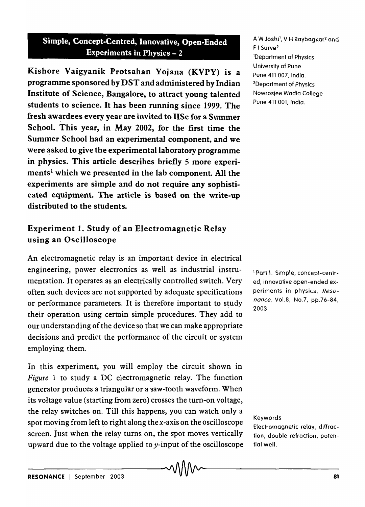## Simple, Concept-Centred, Innovative, Open-Ended Experiments in Physics  $-2$

Kishore Vaigyanik Protsahan Yojana (KVPY) is a programme sponsored by DST and administered by Indian Institute of Science, Bangalore, to attract young talented students to science. It has been running since 1999. The fresh awardees every year are invited to lISe for a Summer School. This year, in May 2002, for the first time the Summer School had an experimental component, and we were asked to give the experimental laboratory programme in physics. This article describes briefly 5 more experiments<sup>1</sup> which we presented in the lab component. All the experiments are simple and do not require any sophisticated equipment. The article is based on the write-up distributed to the students.

## Experiment 1. Study of an Electromagnetic Relay using an Oscilloscope

An electromagnetic relay is an important device in electrical engineering, power electronics as well as industrial instrumentation. It operates as an electrically controlled switch. Very often such devices are not supported by adequate specifications or performance parameters. It is therefore important to study their operation using certain simple procedures. They add to our understanding of the device so that we can make appropriate decisions and predict the performance of the circuit or system employing them.

In this experiment, you will employ the circuit shown in *Figure* 1 to study a DC electromagnetic relay. The function generator produces a triangular or a saw-tooth waveform. When its voltage value (starting from zero) crosses the turn-on voltage, the relay switches on. Till this happens, you can watch only a spot moving from left to right along the  $x$ -axis on the oscilloscope screen. Just when the relay turns on, the spot moves vertically upward due to the voltage applied to y-input of the oscilloscope A W Joshi', V H Raybagkar<sup>2</sup> and F I Surve2 lDepartment of Physics University of Pune Pune 411 007, India. 2Department of Physics Nowrosjee Wadia College Pune 411 001, India.

<sup>1</sup> Part 1. Simple, concept-centred, innovative open-ended experiments in physics, Reso*nance,* Vo1.8, No.7, pp.76-84, 2003

#### Keywords

Electromagnetic relay, diffraction, double refraction, potential well.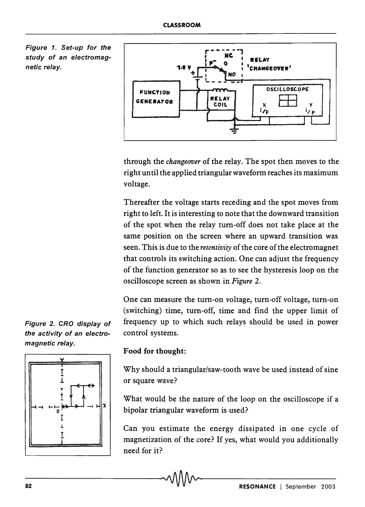Figure 1. Set-up for the study of an electromagnetic relay.



through the *changeover* of the relay. The spot then moves to the right until the applied triangular waveform reaches its maximum voltage.

Thereafter the voltage starts receding and the spot moves from right to left. It is interesting to note that the downward transition of the spot when the relay turn-off does not take place at the same position on the screen where an upward transition was seen. This is due to the *retentivity* of the core of the electromagnet that controls its switching action. One can adjust the frequency of the function generator so as to see the hysteresis loop on the oscilloscope screen as shown in *Figure 2.* 

One can measure the turn-on voltage, turn-off voltage, turn-on (switching) time, turn-off, time and find the upper limit of Figure 2. CRO display of frequency up to which such relays should be used in power the activity of an electro- control systems.



magnetic relay.

### Food for thought:

Why should a triangular/saw-tooth wave be used instead of sine or square wave?

What would be the nature of the loop on the oscilloscope if a bipolar triangular waveform is used?

Can you estimate the energy dissipated in one cycle of magnetization of the core? If yes, what would you additionally need for it?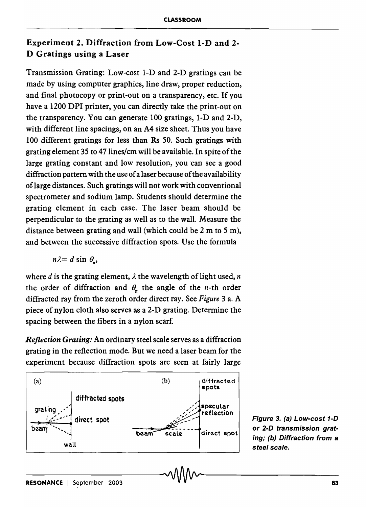## Experiment 2. Diffraction from Low-Cost I-D and 2- D Gratings using a Laser

Transmission Grating: Low-cost 1-D and 2-D gratings can be made by using computer graphics, line draw, proper reduction, and final photocopy or print-out on a transparency, etc. If you have a 1200 DPI printer, you can directly take the print-out on the transparency. You can generate 100 gratings, 1-D and 2-D, with different line spacings, on an A4 size sheet. Thus you have 100 different gratings for less than Rs 50. Such gratings with grating element 35 to 47lines/cm will be available. In spite of the large grating constant and low resolution, you can see a good diffraction pattern with the use of a laser because of the availability of large distances. Such gratings will not work with conventional spectrometer and sodium lamp. Students should determine the grating element in each case. The laser beam should be perpendicular to the grating as well as to the wall. Measure the distance between grating and wall (which could be 2 m to 5 m), and between the successive diffraction spots. Use the formula

 $n\lambda = d \sin \theta$ <sub>2</sub>,

where  $d$  is the grating element,  $\lambda$  the wavelength of light used,  $n$ the order of diffraction and  $\theta_n$  the angle of the *n*-th order diffracted ray from the zeroth order direct ray. See *Figure* 3 a. A piece of nylon cloth also serves as a 2-D grating. Determine the spacing between the fibers in a nylon scarf.

*Reflection Grating:* An ordinary steel scale serves as a diffraction grating in the reflection mode. But we need a laser beam for the experiment because diffraction spots are seen at fairly large



Figure 3. (a) Low-cost 1-D or 2-D transmission grating; (b) Diffraction from a steel scale.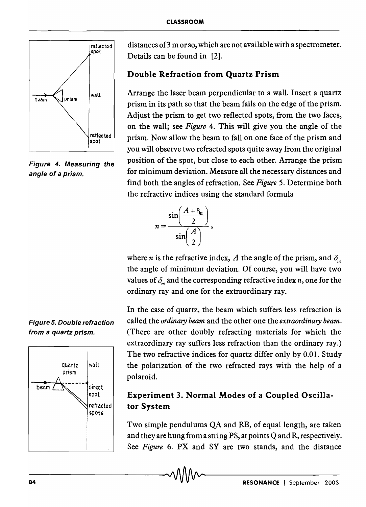

Figure 4. Measuring the angle of a prism.

Figure 5. Double refraction from a quartz prism.



distances of3 m or so, which are not available with a spectrometer. Details can be found in [2].

## Double Refraction from Quartz Prism

Arrange the laser beam perpendicular to a wall. Insert a quartz prism in its path so that the beam falls on the edge of the prism. Adjust the prism to get two reflected spots, from the two faces, on the wall; see *Figure* 4. This will give you the angle of the prism. Now allow the beam to fall on one face of the prism and you will observe two refracted spots quite away from the original position of the spot, but close to each other. Arrange the prism for minimum deviation. Measure all the necessary distances and find both the angles of refraction. See *Figure* 5. Determine both the refractive indices using the standard formula



where *n* is the refractive index, *A* the angle of the prism, and  $\delta_m$ the angle of minimum deviation. Of course, you will have two values of  $\delta_m$  and the corresponding refractive index *n*, one for the ordinary ray and one for the extraordinary ray.

In the case of quartz, the beam which suffers less refraction is called the *ordinary beam* and the other one the *extraordinary beam.*  (There are other doubly refracting materials for which the extraordinary ray suffers less refraction than the ordinary ray.) The two refractive indices for quartz differ only by 0.01. Study the polarization of the two refracted rays with the help of a polaroid.

## Experiment 3. Normal Modes of a Coupled Oscillator System

Two simple pendulums QA and RB, of equal length, are taken and they are hung from a string PS, at points Q and R, respectively. See *Figure* 6. PX and SY are two stands, and the distance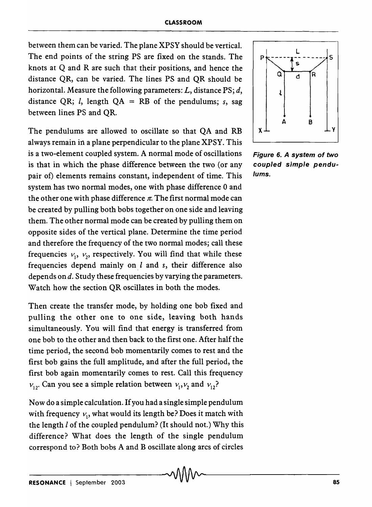between them can be varied. The plane XPSY should be vertical. The end points of the string PS are fixed on the stands. The knots at Q and R are such that their positions, and hence the distance QR, can be varied. The lines PS and QR should be horizontal. Measure the following parameters: *L,* distance PS; *d,*  distance QR; *l*, length  $QA = RB$  of the pendulums; *s*, sag between lines PS and QR.

The pendulums are allowed to oscillate so that QA and RB always remain in a plane perpendicular to the plane XPSY. This is a two-element coupled system. A normal mode of oscillations is that in which the phase difference between the two (or any pair of) elements remains constant, independent of time. This system has two normal modes, one with phase difference 0 and the other one with phase difference  $\pi$ . The first normal mode can be created by pulling both bobs together on one side and leaving them. The other normal mode can be created by pulling them on opposite sides of the vertical plane. Determine the time period and therefore the frequency of the two normal modes; call these frequencies  $v_1$ ,  $v_2$ , respectively. You will find that while these frequencies depend mainly on. I and *s,* their difference also depends on d. Study these frequencies by varying the parameters. Watch how the section QR oscillates in both the modes.

Then create the transfer mode, by holding one bob fixed and pulling the other one to one side, leaving both hands simultaneously. You will find that energy is transferred from one bob to the other and then back to the first one. After half the time period, the second bob momentarily comes to rest and the first bob gains the full amplitude, and after the full period, the first bob again momentarily comes to rest. Call this frequency  $v_{12}$ . Can you see a simple relation between  $v_1, v_2$  and  $v_{12}$ ?

Now do a simple calculation. If you had a single simple pendulum with frequency  $v_1$ , what would its length be? Does it match with the length  $l$  of the coupled pendulum? (It should not.) Why this difference? What does the length of the single pendulum correspond to? Both bobs A and B oscillate along arcs of circles



Figure 6. A system of two coupled simple pendulums.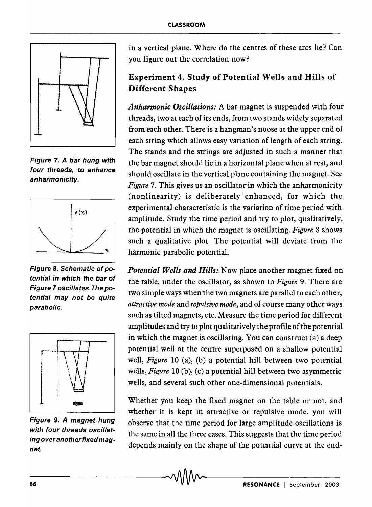

Figure 7. A bar hung with four threads, to enhance anharmonicity.



Figure 8. Schematic of potential in which the bar of Figure 7 oscillates. The potential may not be quite parabolic.



Figure 9. A magnet hung with four threads oscillating over another fixed magnet.

in a vertical plane. Where do the centres of these arcs lie? Can you figure out the correlation now?

# Experiment 4. Study of Potential Wells and Hills of Different Shapes

*Anharmonic Oscillations:* A bar magnet is suspended with four threads, two at each ofits ends, from two stands widely separated from each other. There is a hangman's noose at the upper end of each string which allows easy variation of length of each string. The stands and the strings are adjusted in such a manner that the bar magnet should lie in a horizontal plane when at rest, and should oscillate in the vertical plane containing the magnet. See *Figure* 7. This gives us an oscillator in which the anharmonicity (nonlinearity) is deliberately enhanced, for which the experimental characteristic is the variation of time period with amplitude. Study the time period and try to plot, qualitatively, the potential in which the magnet is oscillating. *Figure* 8 shows such a qualitative plot. The potential will deviate from the harmonic parabolic potential.

*Potential Wells and Hills:* Now place another magnet fixed on the table, under the oscillator, as shown in *Figure* 9. There are two simple ways when the two magnets are parallel to each other, *attractive mode* and *repulsive mode,* and of course many other ways such as tilted magnets, etc. Measure the time period for different amplitudes and try to plot qualitatively the profile of the potential in which the magnet is oscillating. You can construct (a) a deep potential well at the centre superposed on a shallow potential well, *Figure* 10 (a), (b) a potential hill between two potential wells, *Figure* 10 (b), (c) a potential hill between two asymmetric wells, and several such other one-dimensional potentials.

Whether you keep the fixed magnet on the table or not, and whether it is kept in attractive or repulsive mode, you will observe that the time period for large amplitude oscillations is the same in all the three cases. This suggests that the time period depends mainly on the shape of the potential curve at the end-